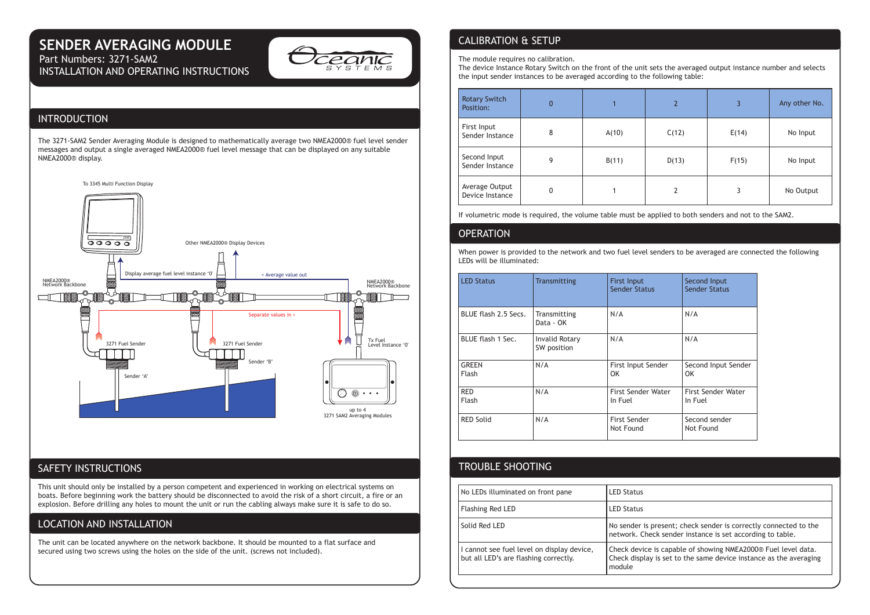# **SENDER AVERAGING MODULE**

Part Numbers: 3271-SAM2 INSTALLATION AND OPERATING INSTRUCTIONS



# INTRODUCTION

The 3271-SAM2 Sender Averaging Module is designed to mathematically average two NMEA2000® fuel level sender messages and output a single averaged NMEA2000® fuel level message that can be displayed on any suitable NMEA2000® display.



## SAFETY INSTRUCTIONS

This unit should only be installed by a person competent and experienced in working on electrical systems on boats. Before beginning work the battery should be disconnected to avoid the risk of a short circuit, a fire or an explosion. Before drilling any holes to mount the unit or run the cabling always make sure it is safe to do so.

# LOCATION AND INSTALLATION

The unit can be located anywhere on the network backbone. It should be mounted to a flat surface and secured using two screws using the holes on the side of the unit. (screws not included).

# CALIBRATION & SETUP

The module requires no calibration.

The device Instance Rotary Switch on the front of the unit sets the averaged output instance number and selects the input sender instances to be averaged according to the following table:

| <b>Rotary Switch</b><br>Position: | 0 |       | $\overline{2}$ | 3     | Any other No. |
|-----------------------------------|---|-------|----------------|-------|---------------|
| First Input<br>Sender Instance    | 8 | A(10) | C(12)          | E(14) | No Input      |
| Second Input<br>Sender Instance   | 9 | B(11) | D(13)          | F(15) | No Input      |
| Average Output<br>Device Instance | 0 |       | 2              | 3     | No Output     |

If volumetric mode is required, the volume table must be applied to both senders and not to the SAM2. Ï

### **OPERATION**

When power is provided to the network and two fuel level senders to be averaged are connected the following LEDs will be illuminated:

| <b>LED Status</b>          | <b>Transmitting</b>                  | <b>First Input</b><br><b>Sender Status</b> | Second Input<br><b>Sender Status</b> |
|----------------------------|--------------------------------------|--------------------------------------------|--------------------------------------|
| BLUE flash 2.5 Secs.       | Transmitting<br>Data - OK            | N/A                                        | N/A                                  |
| BLUE flash 1 Sec.          | <b>Invalid Rotary</b><br>SW position | N/A                                        | N/A                                  |
| <b>GREEN</b><br>Flash      | N/A                                  | First Input Sender<br>OK                   | Second Input Sender<br>OK            |
| <b>RED</b><br><b>Flash</b> | N/A                                  | <b>First Sender Water</b><br>In Fuel       | <b>First Sender Water</b><br>In Fuel |
| <b>RED Solid</b>           | N/A                                  | <b>First Sender</b><br>Not Found           | Second sender<br>Not Found           |

# TROUBLE SHOOTING

| No LEDs illuminated on front pane                                                   | <b>LED Status</b>                                                                                                                            |  |
|-------------------------------------------------------------------------------------|----------------------------------------------------------------------------------------------------------------------------------------------|--|
| <b>Flashing Red LED</b>                                                             | <b>LED Status</b>                                                                                                                            |  |
| Solid Red LED                                                                       | No sender is present; check sender is correctly connected to the<br>network. Check sender instance is set according to table.                |  |
| I cannot see fuel level on display device,<br>but all LED's are flashing correctly. | Check device is capable of showing NMEA2000® Fuel level data.<br>Check display is set to the same device instance as the averaging<br>module |  |